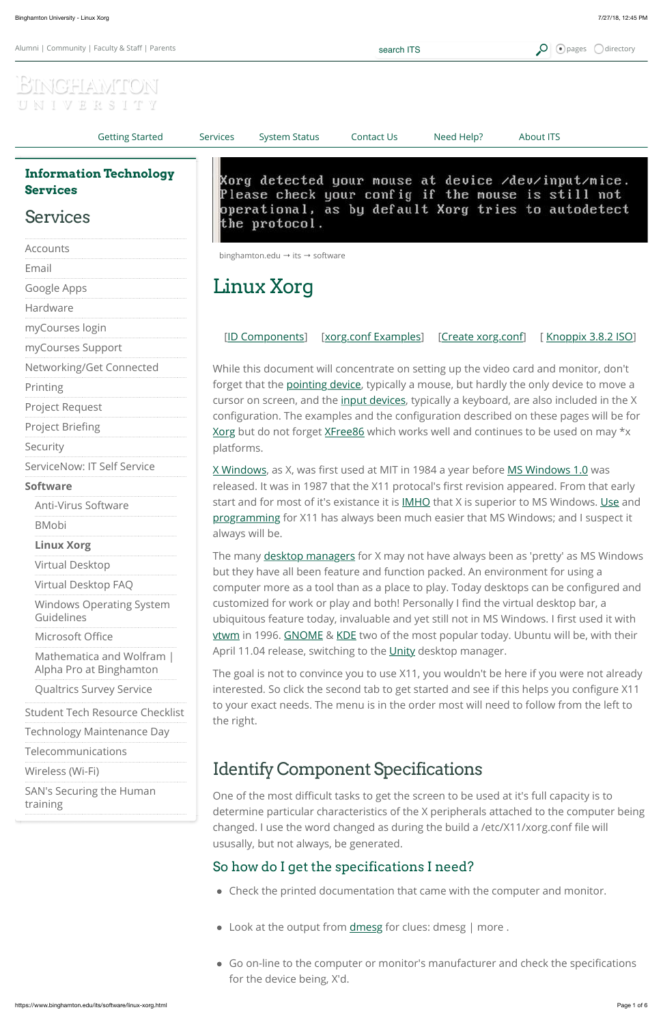#### [Telecommunications](https://www.binghamton.edu/its/telecommunications/index.html)

[Wireless \(Wi-Fi\)](https://www.binghamton.edu/its/organization/ops/wireless.html)

[SAN's Securing the Human](https://www.binghamton.edu/its/sans.html) training

| Alumni   Community   Faculty & Staff   Parents       | search ITS                                                                                                                                                                                                                                                                                                                                                                                                                                                            |                      | $\bigcirc$ pages<br><b>Odirectory</b> |                                                                                                           |
|------------------------------------------------------|-----------------------------------------------------------------------------------------------------------------------------------------------------------------------------------------------------------------------------------------------------------------------------------------------------------------------------------------------------------------------------------------------------------------------------------------------------------------------|----------------------|---------------------------------------|-----------------------------------------------------------------------------------------------------------|
| S<br>W<br>E,<br>K                                    |                                                                                                                                                                                                                                                                                                                                                                                                                                                                       |                      |                                       |                                                                                                           |
| <b>Getting Started</b>                               | <b>System Status</b><br><b>Services</b>                                                                                                                                                                                                                                                                                                                                                                                                                               | Contact Us           | Need Help?                            | <b>About ITS</b>                                                                                          |
| <b>Information Technology</b><br><b>Services</b>     |                                                                                                                                                                                                                                                                                                                                                                                                                                                                       |                      |                                       | Xorg detected your mouse at device /dev/input/mice.<br>Please check your config if the mouse is still not |
| <b>Services</b>                                      | operational, as by default Xorg tries to autodetect<br>the protocol.                                                                                                                                                                                                                                                                                                                                                                                                  |                      |                                       |                                                                                                           |
| Accounts                                             | binghamton.edu $\rightarrow$ its $\rightarrow$ software                                                                                                                                                                                                                                                                                                                                                                                                               |                      |                                       |                                                                                                           |
| Email                                                |                                                                                                                                                                                                                                                                                                                                                                                                                                                                       |                      |                                       |                                                                                                           |
| Google Apps                                          | Linux Xorg                                                                                                                                                                                                                                                                                                                                                                                                                                                            |                      |                                       |                                                                                                           |
| Hardware                                             |                                                                                                                                                                                                                                                                                                                                                                                                                                                                       |                      |                                       |                                                                                                           |
| myCourses login                                      |                                                                                                                                                                                                                                                                                                                                                                                                                                                                       |                      |                                       |                                                                                                           |
| myCourses Support                                    | [ID Components]                                                                                                                                                                                                                                                                                                                                                                                                                                                       | [xorg.conf Examples] | <u>[Create xorg.conf]</u>             | <u>[ Knoppix 3.8.2 ISO]</u>                                                                               |
| Networking/Get Connected                             | While this document will concentrate on setting up the video card and monitor, don't<br>forget that the pointing device, typically a mouse, but hardly the only device to move a<br>cursor on screen, and the <i>input devices</i> , typically a keyboard, are also included in the X<br>configuration. The examples and the configuration described on these pages will be for<br>Xorg but do not forget XFree86 which works well and continues to be used on may *x |                      |                                       |                                                                                                           |
| Printing                                             |                                                                                                                                                                                                                                                                                                                                                                                                                                                                       |                      |                                       |                                                                                                           |
| <b>Project Request</b>                               |                                                                                                                                                                                                                                                                                                                                                                                                                                                                       |                      |                                       |                                                                                                           |
| <b>Project Briefing</b>                              |                                                                                                                                                                                                                                                                                                                                                                                                                                                                       |                      |                                       |                                                                                                           |
| Security                                             | platforms.                                                                                                                                                                                                                                                                                                                                                                                                                                                            |                      |                                       |                                                                                                           |
| ServiceNow: IT Self Service                          | X Windows, as X, was first used at MIT in 1984 a year before MS Windows 1.0 was<br>released. It was in 1987 that the X11 protocal's first revision appeared. From that early                                                                                                                                                                                                                                                                                          |                      |                                       |                                                                                                           |
| <b>Software</b>                                      |                                                                                                                                                                                                                                                                                                                                                                                                                                                                       |                      |                                       |                                                                                                           |
| <b>Anti-Virus Software</b>                           | start and for most of it's existance it is IMHO that X is superior to MS Windows. Use and<br>programming for X11 has always been much easier that MS Windows; and I suspect it<br>always will be.                                                                                                                                                                                                                                                                     |                      |                                       |                                                                                                           |
| <b>BMobi</b>                                         |                                                                                                                                                                                                                                                                                                                                                                                                                                                                       |                      |                                       |                                                                                                           |
| <b>Linux Xorg</b>                                    |                                                                                                                                                                                                                                                                                                                                                                                                                                                                       |                      |                                       |                                                                                                           |
| Virtual Desktop                                      | The many desktop managers for X may not have always been as 'pretty' as MS Windows<br>but they have all been feature and function packed. An environment for using a                                                                                                                                                                                                                                                                                                  |                      |                                       |                                                                                                           |
| Virtual Desktop FAQ                                  | computer more as a tool than as a place to play. Today desktops can be configured and<br>customized for work or play and both! Personally I find the virtual desktop bar, a<br>ubiquitous feature today, invaluable and yet still not in MS Windows. I first used it with                                                                                                                                                                                             |                      |                                       |                                                                                                           |
| <b>Windows Operating System</b><br>Guidelines        |                                                                                                                                                                                                                                                                                                                                                                                                                                                                       |                      |                                       |                                                                                                           |
| Microsoft Office                                     | vtwm in 1996. GNOME & KDE two of the most popular today. Ubuntu will be, with their                                                                                                                                                                                                                                                                                                                                                                                   |                      |                                       |                                                                                                           |
| Mathematica and Wolfram  <br>Alpha Pro at Binghamton | April 11.04 release, switching to the Unity desktop manager.<br>The goal is not to convince you to use X11, you wouldn't be here if you were not already                                                                                                                                                                                                                                                                                                              |                      |                                       |                                                                                                           |
| <b>Qualtrics Survey Service</b>                      | interested. So click the second tab to get started and see if this helps you configure X11                                                                                                                                                                                                                                                                                                                                                                            |                      |                                       |                                                                                                           |
| <b>Student Tech Resource Checklist</b>               | to your exact needs. The menu is in the order most will need to follow from the left to<br>the right.                                                                                                                                                                                                                                                                                                                                                                 |                      |                                       |                                                                                                           |
| <b>Technology Maintenance Day</b>                    |                                                                                                                                                                                                                                                                                                                                                                                                                                                                       |                      |                                       |                                                                                                           |
| Telecommunications                                   |                                                                                                                                                                                                                                                                                                                                                                                                                                                                       |                      |                                       |                                                                                                           |

# <span id="page-0-0"></span>Identify Component Specifications

One of the most difficult tasks to get the screen to be used at it's full capacity is to determine particular characteristics of the X peripherals attached to the computer being changed. I use the word changed as during the build a /etc/X11/xorg.conf file will ususally, but not always, be generated.

## So how do I get the specifications I need?

- Check the printed documentation that came with the computer and monitor.
- Look at the output from **[dmesg](http://en.wikipedia.org/wiki/Dmesg)** for clues: dmesg | more .
- Go on-line to the computer or monitor's manufacturer and check the specifications for the device being, X'd.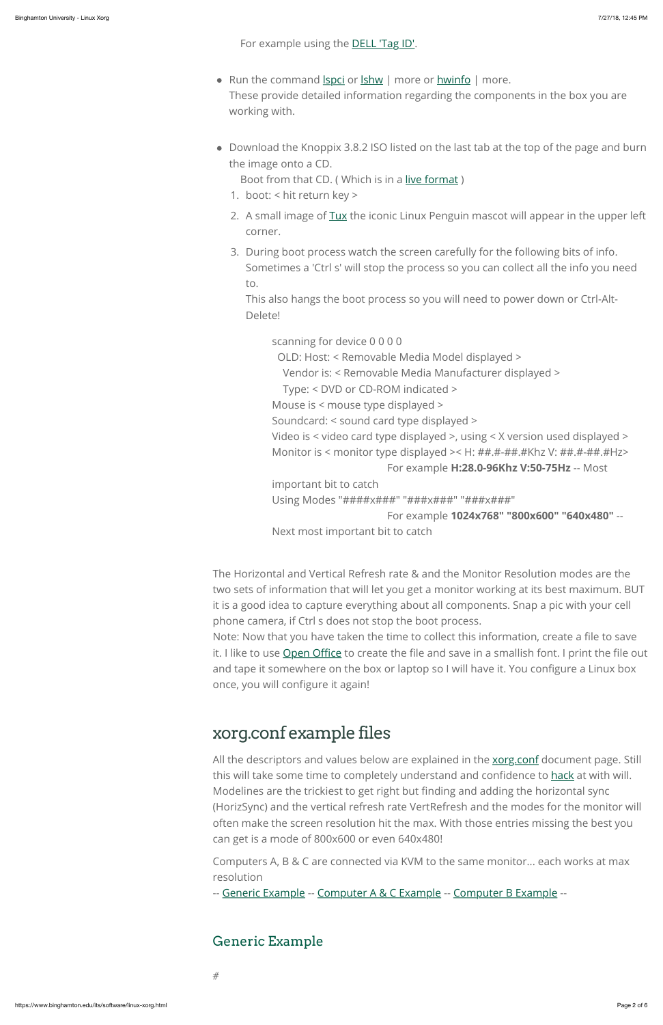For example using the **DELL 'Tag ID'**.

- Run the command *spci* or *shw* | more or *hwinfo* | more. These provide detailed information regarding the components in the box you are working with.
- Download the Knoppix 3.8.2 ISO listed on the last tab at the top of the page and burn the image onto a CD.

Boot from that CD. ( Which is in a [live format](http://en.wikipedia.org/wiki/Live_CD) )

Video is < video card type displayed >, using < X version used displayed > Monitor is < monitor type displayed >< H: ##.#+##.#Khz V: ##.#-##.#Hz>

- 1. boot: < hit return key >
- 2. A small image of [Tux](http://en.wikipedia.org/wiki/Tux) the iconic Linux Penguin mascot will appear in the upper left corner.
- 3. During boot process watch the screen carefully for the following bits of info. Sometimes a 'Ctrl s' will stop the process so you can collect all the info you need to.

This also hangs the boot process so you will need to power down or Ctrl-Alt-Delete!

scanning for device 0 0 0 0

OLD: Host: < Removable Media Model displayed >

Vendor is: < Removable Media Manufacturer displayed >

Type: < DVD or CD-ROM indicated >

Mouse is < mouse type displayed >

Soundcard: < sound card type displayed >

```
 For example H:28.0-96Khz V:50-75Hz -- Most
```
All the descriptors and values below are explained in the **xorg.conf** document page. Still this will take some time to completely understand and confidence to [hack](http://en.wikipedia.org/wiki/Hack) at with will. Modelines are the trickiest to get right but finding and adding the horizontal sync (HorizSync) and the vertical refresh rate VertRefresh and the modes for the monitor will often make the screen resolution hit the max. With those entries missing the best you can get is a mode of 800x600 or even 640x480!

important bit to catch

Using Modes "####x###" "###x###" "###x###"

For example **1024x768" "800x600" "640x480"** --

Next most important bit to catch

The Horizontal and Vertical Refresh rate & and the Monitor Resolution modes are the two sets of information that will let you get a monitor working at its best maximum. BUT it is a good idea to capture everything about all components. Snap a pic with your cell phone camera, if Ctrl s does not stop the boot process.

Note: Now that you have taken the time to collect this information, create a file to save it. I like to use [Open O](http://www.openoffice.org/)ffice to create the file and save in a smallish font. I print the file out and tape it somewhere on the box or laptop so I will have it. You configure a Linux box once, you will configure it again!

# <span id="page-1-0"></span>xorg.conf example files

Computers A, B & C are connected via KVM to the same monitor... each works at max resolution

-- [Generic Example](#page-1-1) -- [Computer A & C Example](#page-3-0) -- [Computer B Example](#page-4-1) --

### <span id="page-1-1"></span>Generic Example

#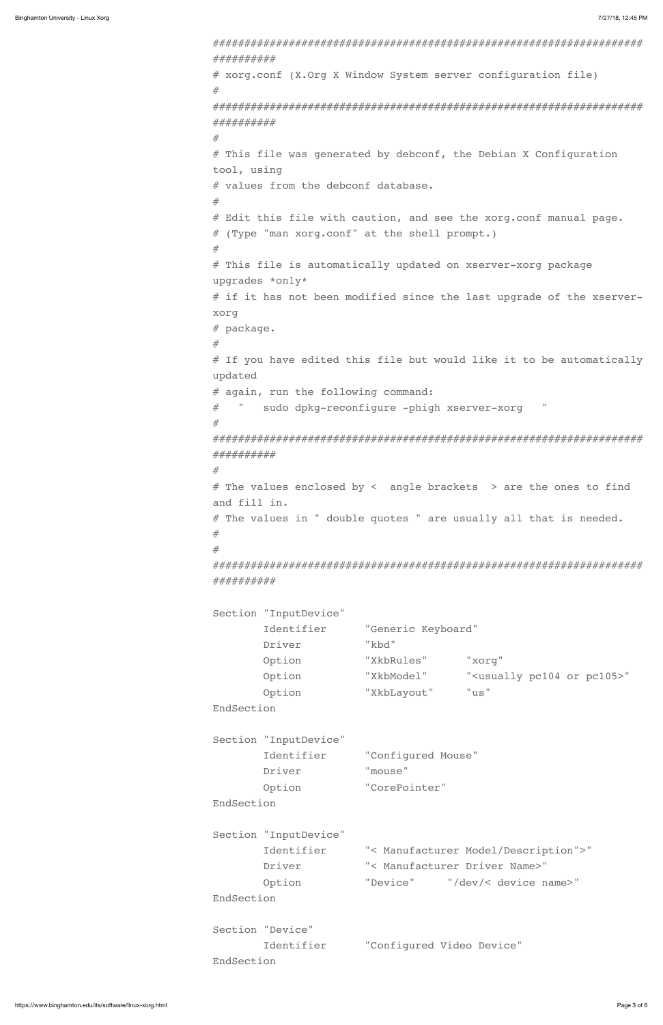#################################################################### ########## # xorg.conf (X.Org X Window System server configuration file) # #################################################################### ########## # # This file was generated by debconf, the Debian X Configuration tool, using # values from the debconf database. # # Edit this file with caution, and see the xorg.conf manual page. # (Type "man xorg.conf" at the shell prompt.) # # This file is automatically updated on xserver-xorg package upgrades \*only\* # if it has not been modified since the last upgrade of the xserverxorg # package. # # If you have edited this file but would like it to be automatically updated # again, run the following command: # " sudo dpkg-reconfigure -phigh xserver-xorg " # #################################################################### ##########  $#$ # The values enclosed by < angle brackets > are the ones to find and fill in. # The values in " double quotes " are usually all that is needed. # # #################################################################### ########## Section "InputDevice" Identifier "Generic Keyboard" Driver "kbd" Option "XkbRules" "xorg" Option "XkbModel" "<usually pc104 or pc105>" Option "XkbLayout" "us" EndSection

```
Section "InputDevice"
```

|            | Identifier            | "Configured Mouse"                   |
|------------|-----------------------|--------------------------------------|
|            | Driver                | "mouse"                              |
|            | Option                | "CorePointer"                        |
| EndSection |                       |                                      |
|            |                       |                                      |
|            | Section "InputDevice" |                                      |
|            | Identifier            | "< Manufacturer Model/Description">" |
|            | Driver                | "< Manufacturer Driver Name>"        |
|            | Option                | "Device" "/dev/< device name>"       |
| EndSection |                       |                                      |
|            |                       |                                      |
|            | Section "Device"      |                                      |
|            | Identifier            | "Configured Video Device"            |
| EndSection |                       |                                      |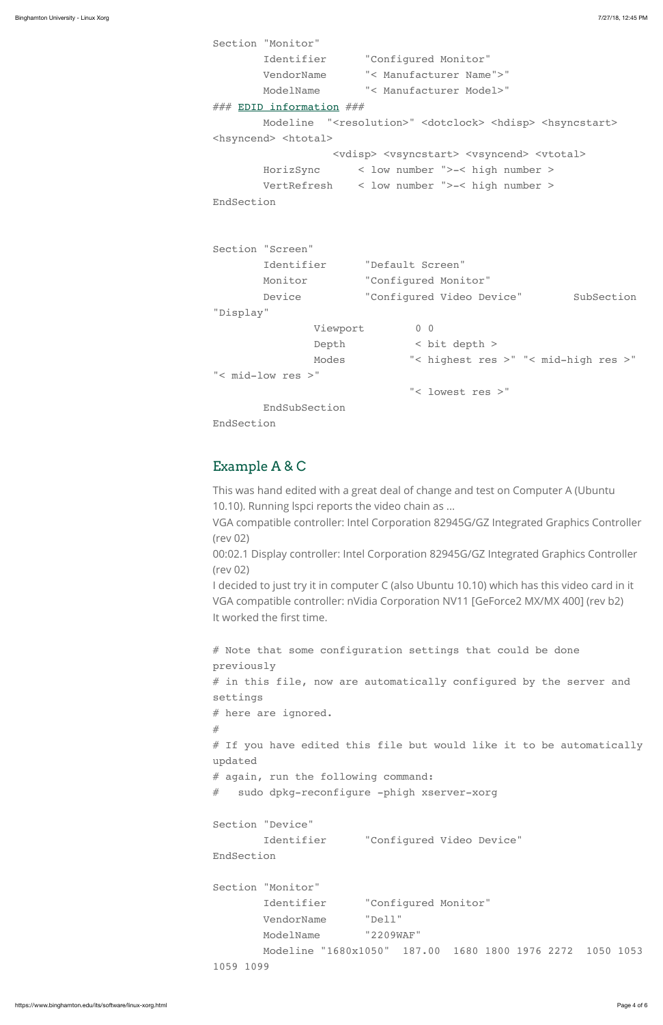```
Section "Monitor"
        Identifier "Configured Monitor"
        VendorName "< Manufacturer Name">"
        ModelName "< Manufacturer Model>"
### EDID information ###
       Modeline "<resolution>" <dotclock> <hdisp> <hsyncstart>
<hsyncend> <htotal> 
                  <vdisp> <vsyncstart> <vsyncend> <vtotal> 
        HorizSync < low number ">-< high number >
        VertRefresh < low number ">-< high number >
EndSection
Section "Screen"
        Identifier "Default Screen"
        Monitor "Configured Monitor"
       Device "Configured Video Device" SubSection
"Display"
              Viewport 0 0
               Depth < bit depth >
               Modes "< highest res >" "< mid-high res >"
"< mid-low res >" 
                             "< lowest res >"
        EndSubSection
EndSection
```

```
# Note that some configuration settings that could be done
previously
# in this file, now are automatically configured by the server and
settings
# here are ignored.
#
# If you have edited this file but would like it to be automatically
```
### <span id="page-3-0"></span>Example A & C

This was hand edited with a great deal of change and test on Computer A (Ubuntu 10.10). Running lspci reports the video chain as ...

VGA compatible controller: Intel Corporation 82945G/GZ Integrated Graphics Controller (rev 02)

00:02.1 Display controller: Intel Corporation 82945G/GZ Integrated Graphics Controller (rev 02)

I decided to just try it in computer C (also Ubuntu 10.10) which has this video card in it VGA compatible controller: nVidia Corporation NV11 [GeForce2 MX/MX 400] (rev b2) It worked the first time.

updated

# again, run the following command:

# sudo dpkg-reconfigure -phigh xserver-xorg

Section "Device" Identifier "Configured Video Device" EndSection

Section "Monitor" Identifier "Configured Monitor" VendorName "Dell" ModelName "2209WAF" Modeline "1680x1050" 187.00 1680 1800 1976 2272 1050 1053 1059 1099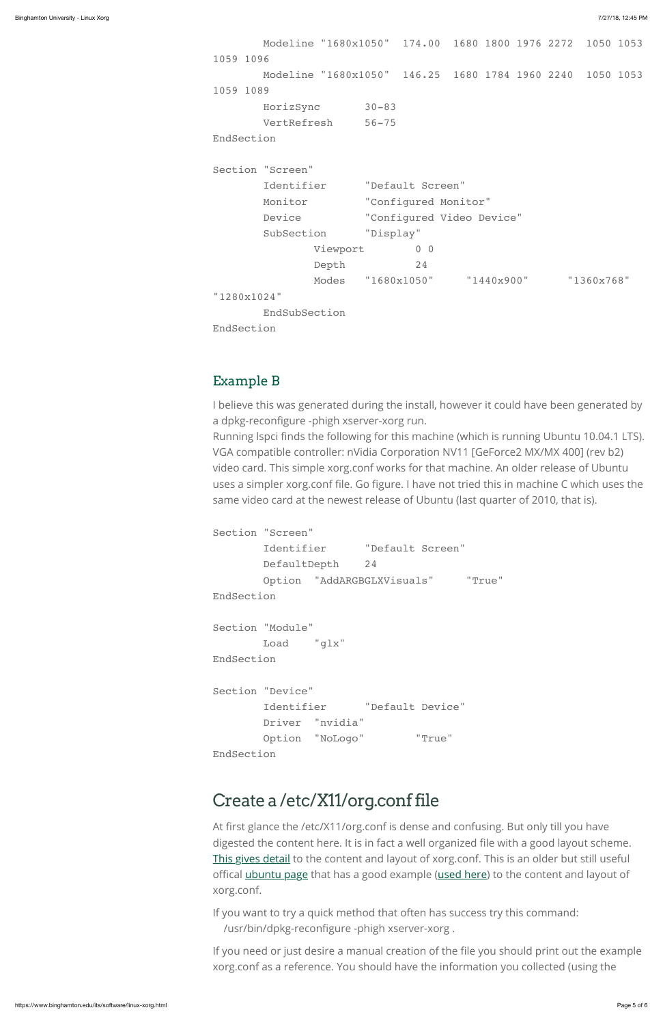```
 Modeline "1680x1050" 174.00 1680 1800 1976 2272 1050 1053
1059 1096
        Modeline "1680x1050" 146.25 1680 1784 1960 2240 1050 1053
1059 1089
       HorizSync 30-83
       VertRefresh 56-75
EndSection
Section "Screen"
        Identifier "Default Screen"
       Monitor "Configured Monitor"
        Device "Configured Video Device"
        SubSection "Display"
              Viewport 0 0
               Depth 24
               Modes "1680x1050" "1440x900" "1360x768" 
"1280x1024"
        EndSubSection
EndSection
```
### <span id="page-4-1"></span>Example B

I believe this was generated during the install, however it could have been generated by a dpkg-reconfigure -phigh xserver-xorg run.

Running lspci finds the following for this machine (which is running Ubuntu 10.04.1 LTS). VGA compatible controller: nVidia Corporation NV11 [GeForce2 MX/MX 400] (rev b2) video card. This simple xorg.conf works for that machine. An older release of Ubuntu uses a simpler xorg.conf file. Go figure. I have not tried this in machine C which uses the same video card at the newest release of Ubuntu (last quarter of 2010, that is).

```
Section "Screen"
        Identifier "Default Screen"
        DefaultDepth 24
        Option "AddARGBGLXVisuals" "True"
EndSection
Section "Module"
        Load "glx"
EndSection
Section "Device"
        Identifier "Default Device"
        Driver "nvidia"
        Option "NoLogo" "True"
```
EndSection

# <span id="page-4-0"></span>Create a /etc/X11/org.conf file

At first glance the /etc/X11/org.conf is dense and confusing. But only till you have digested the content here. It is in fact a well organized file with a good layout scheme. [This gives detail](http://www.x.org/archive/X11R6.8.0/doc/xorg.conf.5.html) to the content and layout of xorg.conf. This is an older but still useful offical [ubuntu page](https://wiki.ubuntu.com/X/Config) that has a good example [\(used here\)](http://curubuntu.cc.binghamton.edu/XORG/example-xorg_conf.html) to the content and layout of xorg.conf.

If you want to try a quick method that often has success try this command: /usr/bin/dpkg-reconfigure -phigh xserver-xorg .

If you need or just desire a manual creation of the file you should print out the example xorg.conf as a reference. You should have the information you collected (using the